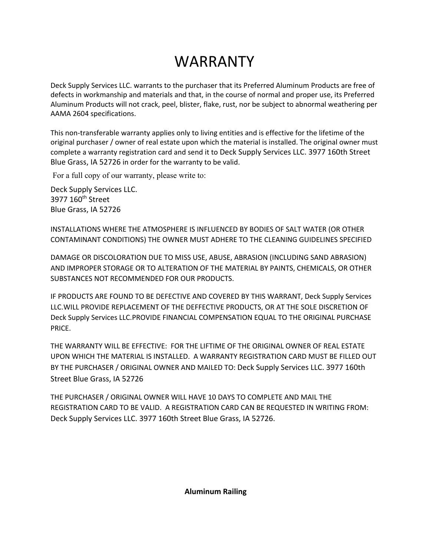# WARRANTY

Deck Supply Services LLC. warrants to the purchaser that its Preferred Aluminum Products are free of defects in workmanship and materials and that, in the course of normal and proper use, its Preferred Aluminum Products will not crack, peel, blister, flake, rust, nor be subject to abnormal weathering per AAMA 2604 specifications.

This non-transferable warranty applies only to living entities and is effective for the lifetime of the original purchaser / owner of real estate upon which the material is installed. The original owner must complete a warranty registration card and send it to Deck Supply Services LLC. 3977 160th Street Blue Grass, IA 52726 in order for the warranty to be valid.

For a full copy of our warranty, please write to:

Deck Supply Services LLC. 3977 160<sup>th</sup> Street Blue Grass, IA 52726

INSTALLATIONS WHERE THE ATMOSPHERE IS INFLUENCED BY BODIES OF SALT WATER (OR OTHER CONTAMINANT CONDITIONS) THE OWNER MUST ADHERE TO THE CLEANING GUIDELINES SPECIFIED

DAMAGE OR DISCOLORATION DUE TO MISS USE, ABUSE, ABRASION (INCLUDING SAND ABRASION) AND IMPROPER STORAGE OR TO ALTERATION OF THE MATERIAL BY PAINTS, CHEMICALS, OR OTHER SUBSTANCES NOT RECOMMENDED FOR OUR PRODUCTS.

IF PRODUCTS ARE FOUND TO BE DEFECTIVE AND COVERED BY THIS WARRANT, Deck Supply Services LLC.WILL PROVIDE REPLACEMENT OF THE DEFFECTIVE PRODUCTS, OR AT THE SOLE DISCRETION OF Deck Supply Services LLC.PROVIDE FINANCIAL COMPENSATION EQUAL TO THE ORIGINAL PURCHASE PRICE.

THE WARRANTY WILL BE EFFECTIVE: FOR THE LIFTIME OF THE ORIGINAL OWNER OF REAL ESTATE UPON WHICH THE MATERIAL IS INSTALLED. A WARRANTY REGISTRATION CARD MUST BE FILLED OUT BY THE PURCHASER / ORIGINAL OWNER AND MAILED TO: Deck Supply Services LLC. 3977 160th Street Blue Grass, IA 52726

THE PURCHASER / ORIGINAL OWNER WILL HAVE 10 DAYS TO COMPLETE AND MAIL THE REGISTRATION CARD TO BE VALID. A REGISTRATION CARD CAN BE REQUESTED IN WRITING FROM: Deck Supply Services LLC. 3977 160th Street Blue Grass, IA 52726.

**Aluminum Railing**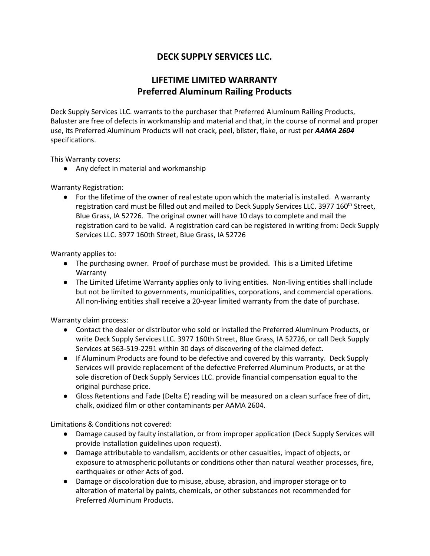### **DECK SUPPLY SERVICES LLC.**

#### **LIFETIME LIMITED WARRANTY Preferred Aluminum Railing Products**

Deck Supply Services LLC. warrants to the purchaser that Preferred Aluminum Railing Products, Baluster are free of defects in workmanship and material and that, in the course of normal and proper use, its Preferred Aluminum Products will not crack, peel, blister, flake, or rust per *AAMA 2604* specifications.

This Warranty covers:

● Any defect in material and workmanship

Warranty Registration:

● For the lifetime of the owner of real estate upon which the material is installed. A warranty registration card must be filled out and mailed to Deck Supply Services LLC. 3977 160<sup>th</sup> Street, Blue Grass, IA 52726. The original owner will have 10 days to complete and mail the registration card to be valid. A registration card can be registered in writing from: Deck Supply Services LLC. 3977 160th Street, Blue Grass, IA 52726

Warranty applies to:

- The purchasing owner. Proof of purchase must be provided. This is a Limited Lifetime Warranty
- The Limited Lifetime Warranty applies only to living entities. Non-living entities shall include but not be limited to governments, municipalities, corporations, and commercial operations. All non-living entities shall receive a 20-year limited warranty from the date of purchase.

Warranty claim process:

- Contact the dealer or distributor who sold or installed the Preferred Aluminum Products, or write Deck Supply Services LLC. 3977 160th Street, Blue Grass, IA 52726, or call Deck Supply Services at 563-519-2291 within 30 days of discovering of the claimed defect.
- If Aluminum Products are found to be defective and covered by this warranty. Deck Supply Services will provide replacement of the defective Preferred Aluminum Products, or at the sole discretion of Deck Supply Services LLC. provide financial compensation equal to the original purchase price.
- Gloss Retentions and Fade (Delta E) reading will be measured on a clean surface free of dirt, chalk, oxidized film or other contaminants per AAMA 2604.

Limitations & Conditions not covered:

- Damage caused by faulty installation, or from improper application (Deck Supply Services will provide installation guidelines upon request).
- Damage attributable to vandalism, accidents or other casualties, impact of objects, or exposure to atmospheric pollutants or conditions other than natural weather processes, fire, earthquakes or other Acts of god.
- Damage or discoloration due to misuse, abuse, abrasion, and improper storage or to alteration of material by paints, chemicals, or other substances not recommended for Preferred Aluminum Products.